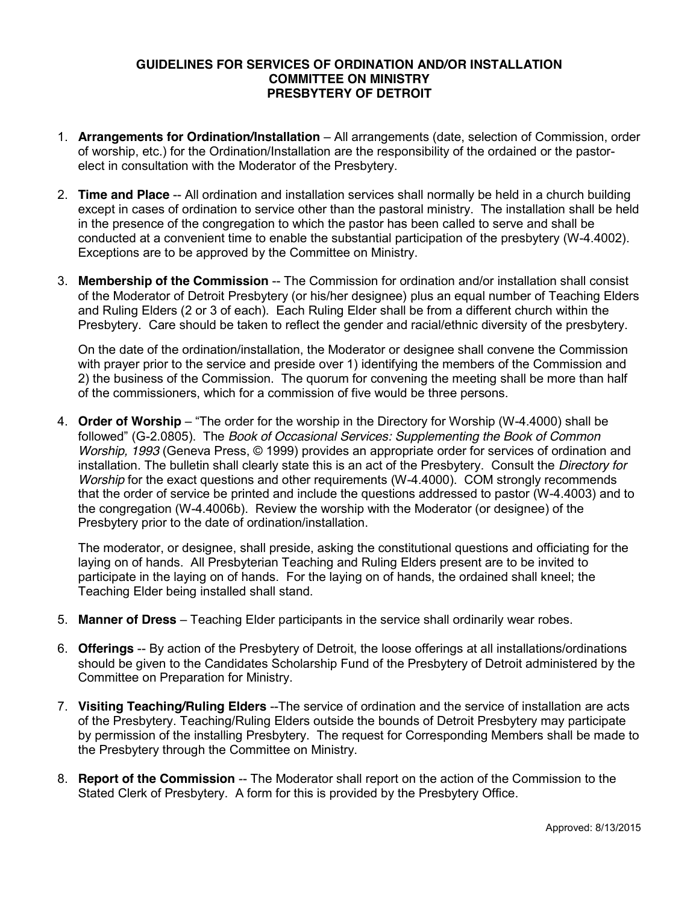# **GUIDELINES FOR SERVICES OF ORDINATION AND/OR INSTALLATION COMMITTEE ON MINISTRY PRESBYTERY OF DETROIT**

- 1. **Arrangements for Ordination/Installation** All arrangements (date, selection of Commission, order of worship, etc.) for the Ordination/Installation are the responsibility of the ordained or the pastorelect in consultation with the Moderator of the Presbytery.
- 2. **Time and Place** -- All ordination and installation services shall normally be held in a church building except in cases of ordination to service other than the pastoral ministry. The installation shall be held in the presence of the congregation to which the pastor has been called to serve and shall be conducted at a convenient time to enable the substantial participation of the presbytery (W-4.4002). Exceptions are to be approved by the Committee on Ministry.
- 3. **Membership of the Commission** -- The Commission for ordination and/or installation shall consist of the Moderator of Detroit Presbytery (or his/her designee) plus an equal number of Teaching Elders and Ruling Elders (2 or 3 of each). Each Ruling Elder shall be from a different church within the Presbytery. Care should be taken to reflect the gender and racial/ethnic diversity of the presbytery.

On the date of the ordination/installation, the Moderator or designee shall convene the Commission with prayer prior to the service and preside over 1) identifying the members of the Commission and 2) the business of the Commission. The quorum for convening the meeting shall be more than half of the commissioners, which for a commission of five would be three persons.

4. **Order of Worship** – "The order for the worship in the Directory for Worship (W-4.4000) shall be followed" (G-2.0805). The *Book of Occasional Services: Supplementing the Book of Common Worship, 1993* (Geneva Press, © 1999) provides an appropriate order for services of ordination and installation. The bulletin shall clearly state this is an act of the Presbytery. Consult the *Directory for Worship* for the exact questions and other requirements (W-4.4000). COM strongly recommends that the order of service be printed and include the questions addressed to pastor (W-4.4003) and to the congregation (W-4.4006b). Review the worship with the Moderator (or designee) of the Presbytery prior to the date of ordination/installation.

The moderator, or designee, shall preside, asking the constitutional questions and officiating for the laying on of hands. All Presbyterian Teaching and Ruling Elders present are to be invited to participate in the laying on of hands. For the laying on of hands, the ordained shall kneel; the Teaching Elder being installed shall stand.

- 5. **Manner of Dress** Teaching Elder participants in the service shall ordinarily wear robes.
- 6. **Offerings** -- By action of the Presbytery of Detroit, the loose offerings at all installations/ordinations should be given to the Candidates Scholarship Fund of the Presbytery of Detroit administered by the Committee on Preparation for Ministry.
- 7. **Visiting Teaching/Ruling Elders** --The service of ordination and the service of installation are acts of the Presbytery. Teaching/Ruling Elders outside the bounds of Detroit Presbytery may participate by permission of the installing Presbytery. The request for Corresponding Members shall be made to the Presbytery through the Committee on Ministry.
- 8. **Report of the Commission** -- The Moderator shall report on the action of the Commission to the Stated Clerk of Presbytery. A form for this is provided by the Presbytery Office.